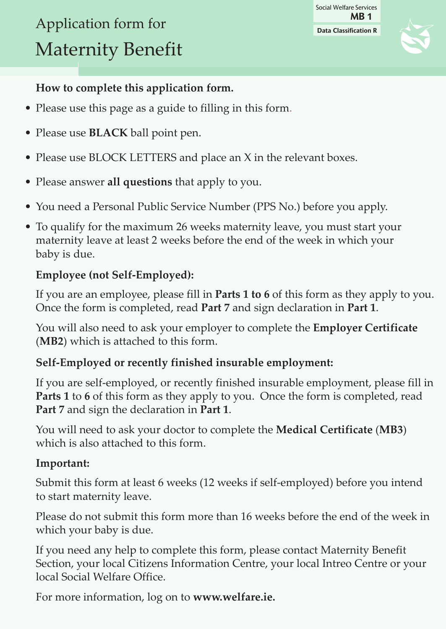# Application form for Maternity Benefit

**Data Classification R** Social Welfare Services **MB 1**



# **How to complete this application form.**

- Please use this page as a guide to filling in this form.
- Please use **black** ball point pen.
- Please use BLOCK LETTERS and place an X in the relevant boxes.
- Please answer **all questions** that apply to you.
- You need a Personal Public Service Number (PPS No.) before you apply.
- To qualify for the maximum 26 weeks maternity leave, you must start your maternity leave at least 2 weeks before the end of the week in which your baby is due.

## **Employee (not Self-Employed):**

If you are an employee, please fill in **Parts 1 to 6** of this form as they apply to you. Once the form is completed, read **Part 7** and sign declaration in **Part 1**.

You will also need to ask your employer to complete the **Employer certificate** (**Mb2**) which is attached to this form.

## **Self-Employed or recently finished insurable employment:**

If you are self-employed, or recently finished insurable employment, please fill in **Parts 1** to **6** of this form as they apply to you. Once the form is completed, read **Part 7** and sign the declaration in **Part 1**.

You will need to ask your doctor to complete the **Medical certificate** (**Mb3**) which is also attached to this form.

### **Important:**

Submit this form at least 6 weeks (12 weeks if self-employed) before you intend to start maternity leave.

Please do not submit this form more than 16 weeks before the end of the week in which your baby is due.

If you need any help to complete this form, please contact Maternity Benefit Section, your local Citizens Information Centre, your local Intreo Centre or your local Social Welfare Office.

For more information, log on to **[www.welfare.ie.](http://www.welfare.ie/en/Pages/SW11.aspx)**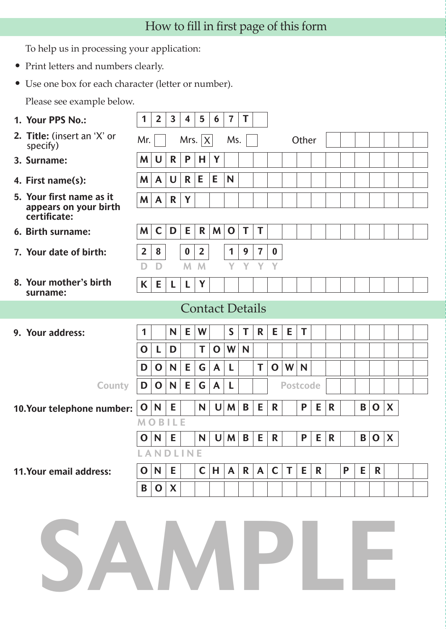# How to fill in first page of this form

To help us in processing your application:

- Print letters and numbers clearly.
- Use one box for each character (letter or number).

Please see example below.

| 1. Your PPS No.:                                                  | 1              | $\overline{2}$ | $\overline{\mathbf{3}}$ | $\overline{\mathbf{4}}$ | 5                      | 6            | $\overline{7}$ | T |                |                  |                 |       |   |              |   |   |             |              |  |
|-------------------------------------------------------------------|----------------|----------------|-------------------------|-------------------------|------------------------|--------------|----------------|---|----------------|------------------|-----------------|-------|---|--------------|---|---|-------------|--------------|--|
| 2. Title: (insert an 'X' or<br>specify)                           | Mr.            |                |                         |                         | Mrs. $ X $             |              | Ms.            |   |                |                  |                 | Other |   |              |   |   |             |              |  |
| 3. Surname:                                                       | M              | U              | R                       | P                       | н                      | Y            |                |   |                |                  |                 |       |   |              |   |   |             |              |  |
| 4. First name(s):                                                 | M              | $\mathsf{A}$   | U                       | $\mathsf{R}$            | E                      | E            | N              |   |                |                  |                 |       |   |              |   |   |             |              |  |
| 5. Your first name as it<br>appears on your birth<br>certificate: | M              | $\mathsf{A}$   | $\mathbf R$             | Y                       |                        |              |                |   |                |                  |                 |       |   |              |   |   |             |              |  |
| 6. Birth surname:                                                 | M              | $\mathsf{C}$   | D                       | Е                       | R                      | M            | $\mathbf 0$    | T | T              |                  |                 |       |   |              |   |   |             |              |  |
| 7. Your date of birth:                                            | $\overline{2}$ | 8              |                         | $\bf{0}$                | $\overline{2}$         |              | 1              | 9 | $\overline{7}$ | $\boldsymbol{0}$ |                 |       |   |              |   |   |             |              |  |
|                                                                   | D              | D              |                         | M                       | M                      |              | Y              | Υ | Y              | Y                |                 |       |   |              |   |   |             |              |  |
| 8. Your mother's birth<br>surname:                                | K              | E              | L                       | L                       | Y                      |              |                |   |                |                  |                 |       |   |              |   |   |             |              |  |
|                                                                   |                |                |                         |                         | <b>Contact Details</b> |              |                |   |                |                  |                 |       |   |              |   |   |             |              |  |
|                                                                   |                |                |                         |                         |                        |              |                |   |                |                  |                 |       |   |              |   |   |             |              |  |
| 9. Your address:                                                  | 1              |                | N                       | E.                      | W                      |              | S              | T | R              | E                | E.              | T     |   |              |   |   |             |              |  |
|                                                                   | $\mathbf 0$    | L              | D                       |                         | Т                      | $\mathbf 0$  | W              | N |                |                  |                 |       |   |              |   |   |             |              |  |
|                                                                   | D              | $\mathbf 0$    | N                       | Е                       | G                      | A            | L              |   | T              | $\mathbf 0$      | W               | N     |   |              |   |   |             |              |  |
| <b>County</b>                                                     | D              | $\mathbf 0$    | $\mathsf{N}$            | Е                       | G                      | $\mathsf{A}$ | L              |   |                |                  | <b>Postcode</b> |       |   |              |   |   |             |              |  |
| 10.Your telephone number:                                         | $\mathbf 0$    | N              | E                       |                         | N                      | U            | M              | B | Е              | $\mathsf{R}$     |                 | P     | Е | $\mathsf{R}$ |   | Β | $\mathbf 0$ | $\mathbf{X}$ |  |
|                                                                   | M              | OBILE          |                         |                         |                        |              |                |   |                |                  |                 |       |   |              |   |   |             |              |  |
|                                                                   | O              | N              | E                       |                         | N                      | $\mathsf{U}$ | M              | B | Е              | R                |                 | P     | E | R            |   | Β | $\mathbf 0$ | $\mathbf{X}$ |  |
|                                                                   |                | LANDLINE       |                         |                         |                        |              |                |   |                |                  |                 |       |   |              |   |   |             |              |  |
| 11.Your email address:                                            | $\mathbf 0$    | N              | E                       |                         | $\mathsf{C}$           | н            | $\mathsf{A}$   | R | $\mathsf{A}$   | $\mathsf{C}$     | Τ               | E     | R |              | P | E | R           |              |  |
|                                                                   | Β              | $\mathbf 0$    | X                       |                         |                        |              |                |   |                |                  |                 |       |   |              |   |   |             |              |  |
| SAMPLE                                                            |                |                |                         |                         |                        |              |                |   |                |                  |                 |       |   |              |   |   |             |              |  |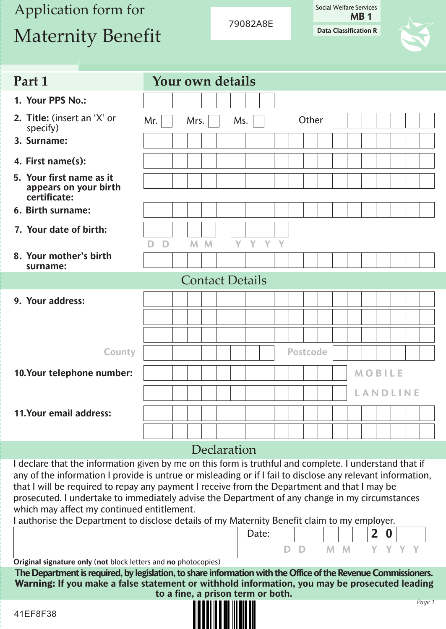# Application form for Maternity Benefit

79082A8E

Social Welfare Services **MB 1**

**Data Classification R**

| Part 1                                                            |     |   | Your own details       |  |             |         |                 |       |  |               |          |  |
|-------------------------------------------------------------------|-----|---|------------------------|--|-------------|---------|-----------------|-------|--|---------------|----------|--|
| 1. Your PPS No.:                                                  |     |   |                        |  |             |         |                 |       |  |               |          |  |
| 2. Title: (insert an 'X' or<br>specify)                           | Mr. |   | Mrs.                   |  | Ms.         |         |                 | Other |  |               |          |  |
| 3. Surname:                                                       |     |   |                        |  |             |         |                 |       |  |               |          |  |
| 4. First name(s):                                                 |     |   |                        |  |             |         |                 |       |  |               |          |  |
| 5. Your first name as it<br>appears on your birth<br>certificate: |     |   |                        |  |             |         |                 |       |  |               |          |  |
| 6. Birth surname:                                                 |     |   |                        |  |             |         |                 |       |  |               |          |  |
| 7. Your date of birth:                                            | D   | D | M M                    |  |             | Y Y Y Y |                 |       |  |               |          |  |
| 8. Your mother's birth<br>surname:                                |     |   |                        |  |             |         |                 |       |  |               |          |  |
|                                                                   |     |   | <b>Contact Details</b> |  |             |         |                 |       |  |               |          |  |
| 9. Your address:                                                  |     |   |                        |  |             |         |                 |       |  |               |          |  |
|                                                                   |     |   |                        |  |             |         |                 |       |  |               |          |  |
|                                                                   |     |   |                        |  |             |         |                 |       |  |               |          |  |
|                                                                   |     |   |                        |  |             |         |                 |       |  |               |          |  |
| <b>County</b>                                                     |     |   |                        |  |             |         | <b>Postcode</b> |       |  |               |          |  |
| 10.Your telephone number:                                         |     |   |                        |  |             |         |                 |       |  | <b>MOBILE</b> |          |  |
|                                                                   |     |   |                        |  |             |         |                 |       |  |               | LANDLINE |  |
| 11.Your email address:                                            |     |   |                        |  |             |         |                 |       |  |               |          |  |
|                                                                   |     |   |                        |  |             |         |                 |       |  |               |          |  |
|                                                                   |     |   |                        |  | Declaration |         |                 |       |  |               |          |  |

that I will be required to repay any payment I receive from the Department and that I may be prosecuted. I undertake to immediately advise the Department of any change in my circumstances which may affect my continued entitlement.

I authorise the Department to disclose details of my Maternity Benefit claim to my employer.

**Original signature only** (**not** block letters and **no** photocopies)

**The Department is required, by legislation, to share information with the Office of the Revenue Commissioners. Warning: If you make a false statement or withhold information, you may be prosecuted leading to a fine, a prison term or both.**

Date:

**D D M M Y Y Y Y**



**2 0**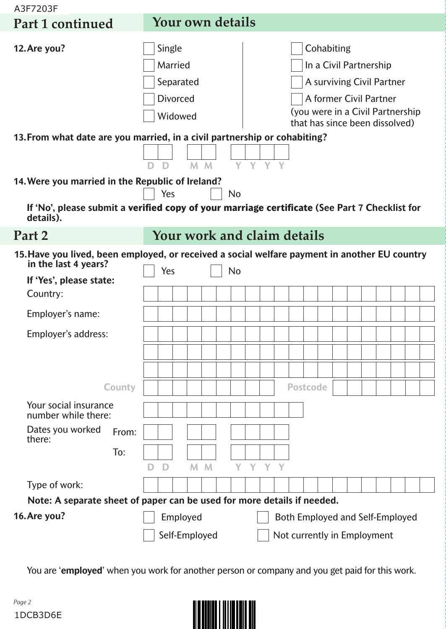| A3F7203F                                                                                                              |               |   |                                                              |          |                |           |              |    |                             |                 |  |            |                                                                                                                 |  |                                  |  |
|-----------------------------------------------------------------------------------------------------------------------|---------------|---|--------------------------------------------------------------|----------|----------------|-----------|--------------|----|-----------------------------|-----------------|--|------------|-----------------------------------------------------------------------------------------------------------------|--|----------------------------------|--|
| Part 1 continued                                                                                                      |               |   | Your own details                                             |          |                |           |              |    |                             |                 |  |            |                                                                                                                 |  |                                  |  |
| 12. Are you?                                                                                                          |               |   | Single<br>Married<br>Separated<br><b>Divorced</b><br>Widowed |          |                |           |              |    |                             |                 |  | Cohabiting | In a Civil Partnership<br>A surviving Civil Partner<br>A former Civil Partner<br>that has since been dissolved) |  | (you were in a Civil Partnership |  |
| 13. From what date are you married, in a civil partnership or cohabiting?                                             |               |   |                                                              |          |                |           |              |    |                             |                 |  |            |                                                                                                                 |  |                                  |  |
|                                                                                                                       |               |   |                                                              |          | $M$ $M$        | Y         | $\mathbf{V}$ |    |                             |                 |  |            |                                                                                                                 |  |                                  |  |
| 14. Were you married in the Republic of Ireland?                                                                      |               |   |                                                              |          |                |           |              |    |                             |                 |  |            |                                                                                                                 |  |                                  |  |
| If 'No', please submit a verified copy of your marriage certificate (See Part 7 Checklist for<br>details).            |               |   | Yes                                                          |          |                | <b>No</b> |              |    |                             |                 |  |            |                                                                                                                 |  |                                  |  |
| Part 2                                                                                                                |               |   | Your work and claim details                                  |          |                |           |              |    |                             |                 |  |            |                                                                                                                 |  |                                  |  |
| 15. Have you lived, been employed, or received a social welfare payment in another EU country<br>in the last 4 years? |               |   | Yes                                                          |          |                | <b>No</b> |              |    |                             |                 |  |            |                                                                                                                 |  |                                  |  |
| If 'Yes', please state:                                                                                               |               |   |                                                              |          |                |           |              |    |                             |                 |  |            |                                                                                                                 |  |                                  |  |
| Country:                                                                                                              |               |   |                                                              |          |                |           |              |    |                             |                 |  |            |                                                                                                                 |  |                                  |  |
| Employer's name:                                                                                                      |               |   |                                                              |          |                |           |              |    |                             |                 |  |            |                                                                                                                 |  |                                  |  |
| Employer's address:                                                                                                   |               |   |                                                              |          |                |           |              |    |                             |                 |  |            |                                                                                                                 |  |                                  |  |
|                                                                                                                       |               |   |                                                              |          |                |           |              |    |                             |                 |  |            |                                                                                                                 |  |                                  |  |
|                                                                                                                       |               |   |                                                              |          |                |           |              |    |                             |                 |  |            |                                                                                                                 |  |                                  |  |
|                                                                                                                       | <b>County</b> |   |                                                              |          |                |           |              |    |                             | <b>Postcode</b> |  |            |                                                                                                                 |  |                                  |  |
| Your social insurance<br>number while there:                                                                          |               |   |                                                              |          |                |           |              |    |                             |                 |  |            |                                                                                                                 |  |                                  |  |
| Dates you worked<br>there:                                                                                            | From:         |   |                                                              |          |                |           |              |    |                             |                 |  |            |                                                                                                                 |  |                                  |  |
|                                                                                                                       | To:           |   |                                                              |          |                |           |              |    |                             |                 |  |            |                                                                                                                 |  |                                  |  |
|                                                                                                                       |               | D | D                                                            |          | M <sub>M</sub> | Y         | Y.           | Y. |                             |                 |  |            |                                                                                                                 |  |                                  |  |
| Type of work:                                                                                                         |               |   |                                                              |          |                |           |              |    |                             |                 |  |            |                                                                                                                 |  |                                  |  |
| Note: A separate sheet of paper can be used for more details if needed.                                               |               |   |                                                              |          |                |           |              |    |                             |                 |  |            |                                                                                                                 |  |                                  |  |
| 16.Are you?                                                                                                           |               |   |                                                              | Employed |                |           |              |    |                             |                 |  |            | <b>Both Employed and Self-Employed</b>                                                                          |  |                                  |  |
|                                                                                                                       |               |   | Self-Employed                                                |          |                |           |              |    | Not currently in Employment |                 |  |            |                                                                                                                 |  |                                  |  |

You are '**employed**' when you work for another person or company and you get paid for this work.

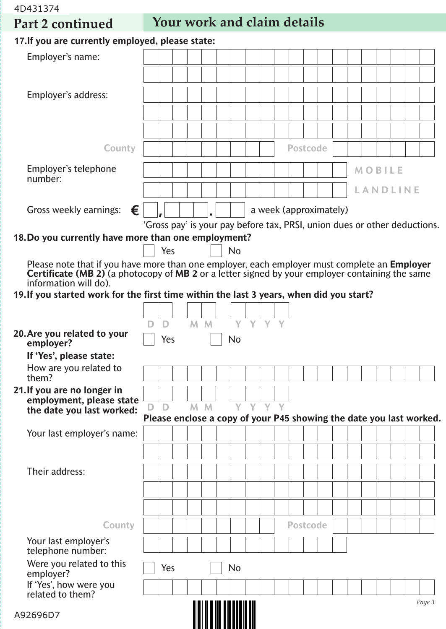4D431374

**Part 2 continued Your work and claim details** 

| 17. If you are currently employed, please state:                                                                                                                                                                     |     |  |                |           |  |  |                        |  |  |               |                 |                                                                           |
|----------------------------------------------------------------------------------------------------------------------------------------------------------------------------------------------------------------------|-----|--|----------------|-----------|--|--|------------------------|--|--|---------------|-----------------|---------------------------------------------------------------------------|
| Employer's name:                                                                                                                                                                                                     |     |  |                |           |  |  |                        |  |  |               |                 |                                                                           |
|                                                                                                                                                                                                                      |     |  |                |           |  |  |                        |  |  |               |                 |                                                                           |
| Employer's address:                                                                                                                                                                                                  |     |  |                |           |  |  |                        |  |  |               |                 |                                                                           |
|                                                                                                                                                                                                                      |     |  |                |           |  |  |                        |  |  |               |                 |                                                                           |
|                                                                                                                                                                                                                      |     |  |                |           |  |  |                        |  |  |               |                 |                                                                           |
|                                                                                                                                                                                                                      |     |  |                |           |  |  |                        |  |  |               |                 |                                                                           |
| <b>County</b>                                                                                                                                                                                                        |     |  |                |           |  |  | <b>Postcode</b>        |  |  |               |                 |                                                                           |
| Employer's telephone                                                                                                                                                                                                 |     |  |                |           |  |  |                        |  |  | <b>MOBILE</b> |                 |                                                                           |
| number:                                                                                                                                                                                                              |     |  |                |           |  |  |                        |  |  |               | <b>LANDLINE</b> |                                                                           |
|                                                                                                                                                                                                                      |     |  |                |           |  |  |                        |  |  |               |                 |                                                                           |
| Gross weekly earnings: $\epsilon$                                                                                                                                                                                    |     |  |                |           |  |  | a week (approximately) |  |  |               |                 | 'Gross pay' is your pay before tax, PRSI, union dues or other deductions. |
| 18. Do you currently have more than one employment?                                                                                                                                                                  |     |  |                |           |  |  |                        |  |  |               |                 |                                                                           |
|                                                                                                                                                                                                                      | Yes |  |                | <b>No</b> |  |  |                        |  |  |               |                 |                                                                           |
| Please note that if you have more than one employer, each employer must complete an <b>Employer</b><br><b>Certificate (MB 2)</b> (a photocopy of <b>MB 2</b> or a letter signed by your employer containing the same |     |  |                |           |  |  |                        |  |  |               |                 |                                                                           |
| information will do).                                                                                                                                                                                                |     |  |                |           |  |  |                        |  |  |               |                 |                                                                           |
| 19. If you started work for the first time within the last 3 years, when did you start?                                                                                                                              |     |  |                |           |  |  |                        |  |  |               |                 |                                                                           |
|                                                                                                                                                                                                                      |     |  |                |           |  |  |                        |  |  |               |                 |                                                                           |
| 20. Are you related to your                                                                                                                                                                                          | D   |  | M <sub>M</sub> | Y Y Y Y   |  |  |                        |  |  |               |                 |                                                                           |
| employer?                                                                                                                                                                                                            | Yes |  |                | <b>No</b> |  |  |                        |  |  |               |                 |                                                                           |
| If 'Yes', please state:<br>How are you related to                                                                                                                                                                    |     |  |                |           |  |  |                        |  |  |               |                 |                                                                           |
| them?                                                                                                                                                                                                                |     |  |                |           |  |  |                        |  |  |               |                 |                                                                           |
| 21. If you are no longer in<br>employment, please state                                                                                                                                                              |     |  |                |           |  |  |                        |  |  |               |                 |                                                                           |
| the date you last worked:                                                                                                                                                                                            | D   |  | M M            | YYYY      |  |  |                        |  |  |               |                 |                                                                           |
|                                                                                                                                                                                                                      |     |  |                |           |  |  |                        |  |  |               |                 | Please enclose a copy of your P45 showing the date you last worked.       |
| Your last employer's name:                                                                                                                                                                                           |     |  |                |           |  |  |                        |  |  |               |                 |                                                                           |
|                                                                                                                                                                                                                      |     |  |                |           |  |  |                        |  |  |               |                 |                                                                           |
| Their address:                                                                                                                                                                                                       |     |  |                |           |  |  |                        |  |  |               |                 |                                                                           |
|                                                                                                                                                                                                                      |     |  |                |           |  |  |                        |  |  |               |                 |                                                                           |
|                                                                                                                                                                                                                      |     |  |                |           |  |  |                        |  |  |               |                 |                                                                           |
| <b>County</b>                                                                                                                                                                                                        |     |  |                |           |  |  | <b>Postcode</b>        |  |  |               |                 |                                                                           |
| Your last employer's<br>telephone number:                                                                                                                                                                            |     |  |                |           |  |  |                        |  |  |               |                 |                                                                           |
| Were you related to this<br>employer?                                                                                                                                                                                | Yes |  |                | No        |  |  |                        |  |  |               |                 |                                                                           |
| If 'Yes', how were you<br>related to them?                                                                                                                                                                           |     |  |                |           |  |  |                        |  |  |               |                 | Page 3                                                                    |
| A92696D7                                                                                                                                                                                                             |     |  |                |           |  |  |                        |  |  |               |                 |                                                                           |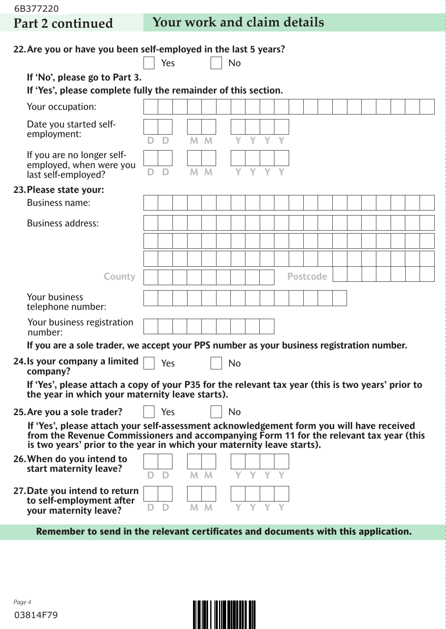6B377220

# **Part 2 continued Your work and claim details**

| 22. Are you or have you been self-employed in the last 5 years?                                                                                                                                                                                               |   |     |    |                |           |              |    |                 |  |  |  |  |  |
|---------------------------------------------------------------------------------------------------------------------------------------------------------------------------------------------------------------------------------------------------------------|---|-----|----|----------------|-----------|--------------|----|-----------------|--|--|--|--|--|
|                                                                                                                                                                                                                                                               |   | Yes |    |                | <b>No</b> |              |    |                 |  |  |  |  |  |
| If 'No', please go to Part 3.<br>If 'Yes', please complete fully the remainder of this section.                                                                                                                                                               |   |     |    |                |           |              |    |                 |  |  |  |  |  |
| Your occupation:                                                                                                                                                                                                                                              |   |     |    |                |           |              |    |                 |  |  |  |  |  |
| Date you started self-<br>employment:                                                                                                                                                                                                                         | D | D   | M. | $\mathsf{M}$   |           | Y            |    |                 |  |  |  |  |  |
| If you are no longer self-<br>employed, when were you<br>last self-employed?                                                                                                                                                                                  | D | D   |    | $M$ $M$        | Y         | Y Y          |    |                 |  |  |  |  |  |
| 23. Please state your:                                                                                                                                                                                                                                        |   |     |    |                |           |              |    |                 |  |  |  |  |  |
| <b>Business name:</b>                                                                                                                                                                                                                                         |   |     |    |                |           |              |    |                 |  |  |  |  |  |
| <b>Business address:</b>                                                                                                                                                                                                                                      |   |     |    |                |           |              |    |                 |  |  |  |  |  |
|                                                                                                                                                                                                                                                               |   |     |    |                |           |              |    |                 |  |  |  |  |  |
|                                                                                                                                                                                                                                                               |   |     |    |                |           |              |    |                 |  |  |  |  |  |
| <b>County</b>                                                                                                                                                                                                                                                 |   |     |    |                |           |              |    | <b>Postcode</b> |  |  |  |  |  |
| Your business<br>telephone number:                                                                                                                                                                                                                            |   |     |    |                |           |              |    |                 |  |  |  |  |  |
| Your business registration<br>number:                                                                                                                                                                                                                         |   |     |    |                |           |              |    |                 |  |  |  |  |  |
| If you are a sole trader, we accept your PPS number as your business registration number.                                                                                                                                                                     |   |     |    |                |           |              |    |                 |  |  |  |  |  |
| 24. Is your company a limited<br>company?                                                                                                                                                                                                                     |   | Yes |    |                | <b>No</b> |              |    |                 |  |  |  |  |  |
| If 'Yes', please attach a copy of your P35 for the relevant tax year (this is two years' prior to<br>the year in which your maternity leave starts).                                                                                                          |   |     |    |                |           |              |    |                 |  |  |  |  |  |
| 25. Are you a sole trader?                                                                                                                                                                                                                                    |   | Yes |    |                | <b>No</b> |              |    |                 |  |  |  |  |  |
| If 'Yes', please attach your self-assessment acknowledgement form you will have received<br>from the Revenue Commissioners and accompanying Form 11 for the relevant tax year (this<br>is two years' prior to the year in which your maternity leave starts). |   |     |    |                |           |              |    |                 |  |  |  |  |  |
| 26. When do you intend to<br>start maternity leave?                                                                                                                                                                                                           |   | D   |    | M M            | Y         | $\mathbf{V}$ | V. |                 |  |  |  |  |  |
| 27. Date you intend to return<br>to self-employment after<br>your maternity leave?                                                                                                                                                                            | D | D   |    | M <sub>M</sub> |           | Y            | Y. |                 |  |  |  |  |  |
| Remember to send in the relevant certificates and documents with this application.                                                                                                                                                                            |   |     |    |                |           |              |    |                 |  |  |  |  |  |

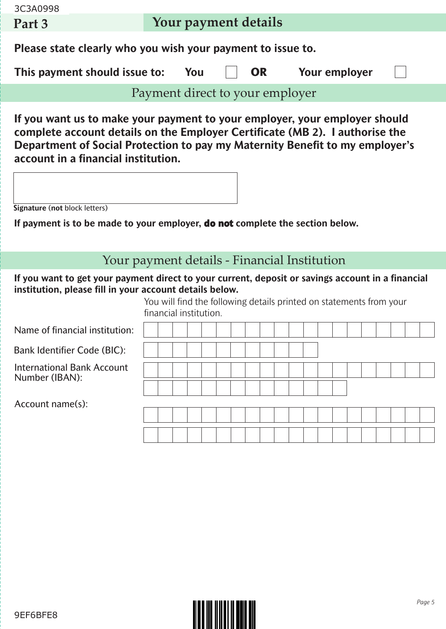| 3C3A0998                                                                                                                                                     |                                                                                                                                                                                                                                                                                                                    |     |  |  |           |  |                      |  |  |  |  |  |  |  |  |
|--------------------------------------------------------------------------------------------------------------------------------------------------------------|--------------------------------------------------------------------------------------------------------------------------------------------------------------------------------------------------------------------------------------------------------------------------------------------------------------------|-----|--|--|-----------|--|----------------------|--|--|--|--|--|--|--|--|
| Part 3                                                                                                                                                       | Your payment details                                                                                                                                                                                                                                                                                               |     |  |  |           |  |                      |  |  |  |  |  |  |  |  |
| Please state clearly who you wish your payment to issue to.                                                                                                  |                                                                                                                                                                                                                                                                                                                    |     |  |  |           |  |                      |  |  |  |  |  |  |  |  |
| This payment should issue to:                                                                                                                                |                                                                                                                                                                                                                                                                                                                    | You |  |  | <b>OR</b> |  | <b>Your employer</b> |  |  |  |  |  |  |  |  |
|                                                                                                                                                              | Payment direct to your employer                                                                                                                                                                                                                                                                                    |     |  |  |           |  |                      |  |  |  |  |  |  |  |  |
|                                                                                                                                                              | If you want us to make your payment to your employer, your employer should<br>complete account details on the Employer Certificate (MB 2). I authorise the<br>Department of Social Protection to pay my Maternity Benefit to my employer's<br>account in a financial institution.<br>Signature (not block letters) |     |  |  |           |  |                      |  |  |  |  |  |  |  |  |
|                                                                                                                                                              |                                                                                                                                                                                                                                                                                                                    |     |  |  |           |  |                      |  |  |  |  |  |  |  |  |
| If payment is to be made to your employer, <b>do not</b> complete the section below.                                                                         |                                                                                                                                                                                                                                                                                                                    |     |  |  |           |  |                      |  |  |  |  |  |  |  |  |
|                                                                                                                                                              |                                                                                                                                                                                                                                                                                                                    |     |  |  |           |  |                      |  |  |  |  |  |  |  |  |
| Your payment details - Financial Institution                                                                                                                 |                                                                                                                                                                                                                                                                                                                    |     |  |  |           |  |                      |  |  |  |  |  |  |  |  |
| If you want to get your payment direct to your current, deposit or savings account in a financial<br>institution, please fill in your account details below. | You will find the following details printed on statements from your<br>financial institution.                                                                                                                                                                                                                      |     |  |  |           |  |                      |  |  |  |  |  |  |  |  |
| Name of financial institution:                                                                                                                               |                                                                                                                                                                                                                                                                                                                    |     |  |  |           |  |                      |  |  |  |  |  |  |  |  |
| <b>Bank Identifier Code (BIC):</b>                                                                                                                           |                                                                                                                                                                                                                                                                                                                    |     |  |  |           |  |                      |  |  |  |  |  |  |  |  |
| <b>International Bank Account</b>                                                                                                                            |                                                                                                                                                                                                                                                                                                                    |     |  |  |           |  |                      |  |  |  |  |  |  |  |  |
| Number (IBAN):                                                                                                                                               |                                                                                                                                                                                                                                                                                                                    |     |  |  |           |  |                      |  |  |  |  |  |  |  |  |
| Account name(s):                                                                                                                                             |                                                                                                                                                                                                                                                                                                                    |     |  |  |           |  |                      |  |  |  |  |  |  |  |  |
|                                                                                                                                                              |                                                                                                                                                                                                                                                                                                                    |     |  |  |           |  |                      |  |  |  |  |  |  |  |  |
|                                                                                                                                                              |                                                                                                                                                                                                                                                                                                                    |     |  |  |           |  |                      |  |  |  |  |  |  |  |  |
|                                                                                                                                                              |                                                                                                                                                                                                                                                                                                                    |     |  |  |           |  |                      |  |  |  |  |  |  |  |  |

l<br>L

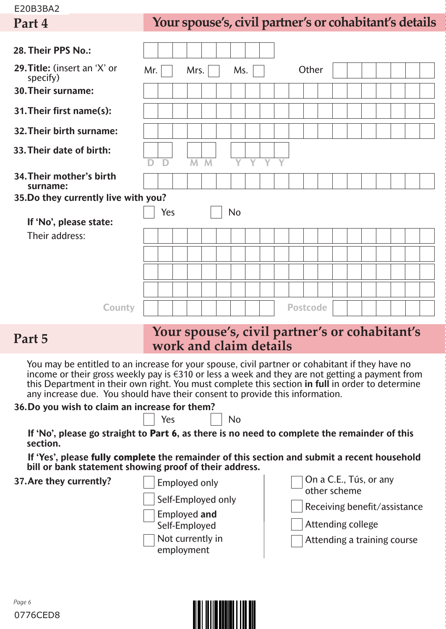#### E20B3BA2

# **Part 4 Your spouse's, civil partner's or cohabitant's details**

| 28. Their PPS No.:                       |     |     |                |                |                |                |                |   |                 |       |  |  |  |  |
|------------------------------------------|-----|-----|----------------|----------------|----------------|----------------|----------------|---|-----------------|-------|--|--|--|--|
| 29. Title: (insert an 'X' or<br>specify) | Mr. |     | Mrs.           |                | Ms.            |                |                |   |                 | Other |  |  |  |  |
| 30. Their surname:                       |     |     |                |                |                |                |                |   |                 |       |  |  |  |  |
| 31. Their first name(s):                 |     |     |                |                |                |                |                |   |                 |       |  |  |  |  |
| 32. Their birth surname:                 |     |     |                |                |                |                |                |   |                 |       |  |  |  |  |
| 33. Their date of birth:                 | D   | D   | $\overline{M}$ | $\overline{M}$ | $\overline{Y}$ | $\overline{Y}$ | $\overline{Y}$ | Ÿ |                 |       |  |  |  |  |
| 34. Their mother's birth<br>surname:     |     |     |                |                |                |                |                |   |                 |       |  |  |  |  |
| 35.Do they currently live with you?      |     |     |                |                |                |                |                |   |                 |       |  |  |  |  |
|                                          |     | Yes |                |                | <b>No</b>      |                |                |   |                 |       |  |  |  |  |
| If 'No', please state:                   |     |     |                |                |                |                |                |   |                 |       |  |  |  |  |
| Their address:                           |     |     |                |                |                |                |                |   |                 |       |  |  |  |  |
|                                          |     |     |                |                |                |                |                |   |                 |       |  |  |  |  |
|                                          |     |     |                |                |                |                |                |   |                 |       |  |  |  |  |
|                                          |     |     |                |                |                |                |                |   |                 |       |  |  |  |  |
| <b>County</b>                            |     |     |                |                |                |                |                |   | <b>Postcode</b> |       |  |  |  |  |

### **Your spouse's, civil partner's or cohabitant's** Part 5<br>*work and claim details*

You may be entitled to an increase for your spouse, civil partner or cohabitant if they have no income or their gross weekly pay is €310 or less a week and they are not getting a payment from this Department in their own right. You must complete this section **in full** in order to determine any increase due. You should have their consent to provide this information.

| 36. Do you wish to claim an increase for them? |             |    |
|------------------------------------------------|-------------|----|
|                                                | $\vert$ Yes | No |

**If 'No', please go straight to Part 6, as there is no need to complete the remainder of this section.**

**If 'Yes', please fully complete the remainder of this section and submit a recent household bill or bank statement showing proof of their address.**



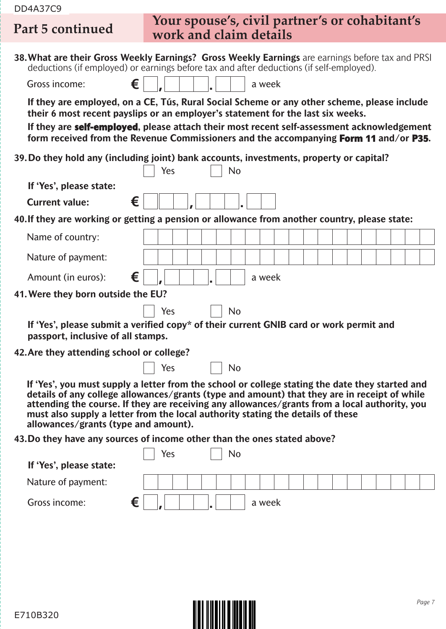| <b>DD4A37C9</b>                           |                                                                                                                                                                                                                                                                                                                                                                                     |
|-------------------------------------------|-------------------------------------------------------------------------------------------------------------------------------------------------------------------------------------------------------------------------------------------------------------------------------------------------------------------------------------------------------------------------------------|
| Part 5 continued                          | Your spouse's, civil partner's or cohabitant's<br>work and claim details                                                                                                                                                                                                                                                                                                            |
|                                           | 38. What are their Gross Weekly Earnings? Gross Weekly Earnings are earnings before tax and PRSI<br>deductions (if employed) or earnings before tax and after deductions (if self-employed).                                                                                                                                                                                        |
| €<br>Gross income:                        | a week                                                                                                                                                                                                                                                                                                                                                                              |
|                                           | If they are employed, on a CE, Tús, Rural Social Scheme or any other scheme, please include<br>their 6 most recent payslips or an employer's statement for the last six weeks.<br>If they are self-employed, please attach their most recent self-assessment acknowledgement<br>form received from the Revenue Commissioners and the accompanying Form 11 and/or P35.               |
|                                           | 39. Do they hold any (including joint) bank accounts, investments, property or capital?<br>Yes<br><b>No</b>                                                                                                                                                                                                                                                                         |
| If 'Yes', please state:                   |                                                                                                                                                                                                                                                                                                                                                                                     |
| €<br><b>Current value:</b>                |                                                                                                                                                                                                                                                                                                                                                                                     |
|                                           | 40. If they are working or getting a pension or allowance from another country, please state:                                                                                                                                                                                                                                                                                       |
| Name of country:                          |                                                                                                                                                                                                                                                                                                                                                                                     |
| Nature of payment:                        |                                                                                                                                                                                                                                                                                                                                                                                     |
| €<br>Amount (in euros):                   | a week                                                                                                                                                                                                                                                                                                                                                                              |
| 41. Were they born outside the EU?        |                                                                                                                                                                                                                                                                                                                                                                                     |
|                                           | Yes<br><b>No</b>                                                                                                                                                                                                                                                                                                                                                                    |
| passport, inclusive of all stamps.        | If 'Yes', please submit a verified copy* of their current GNIB card or work permit and                                                                                                                                                                                                                                                                                              |
| 42. Are they attending school or college? |                                                                                                                                                                                                                                                                                                                                                                                     |
|                                           | Yes<br><b>No</b>                                                                                                                                                                                                                                                                                                                                                                    |
| allowances/grants (type and amount).      | If 'Yes', you must supply a letter from the school or college stating the date they started and<br>details of any college allowances/grants (type and amount) that they are in receipt of while<br>attending the course. If they are receiving any allowances/grants from a local authority, you<br>must also supply a letter from the local authority stating the details of these |
|                                           | 43. Do they have any sources of income other than the ones stated above?                                                                                                                                                                                                                                                                                                            |
| If 'Yes', please state:                   | Yes<br>No                                                                                                                                                                                                                                                                                                                                                                           |
| Nature of payment:                        |                                                                                                                                                                                                                                                                                                                                                                                     |
| €<br>Gross income:                        | a week                                                                                                                                                                                                                                                                                                                                                                              |
|                                           |                                                                                                                                                                                                                                                                                                                                                                                     |
|                                           |                                                                                                                                                                                                                                                                                                                                                                                     |

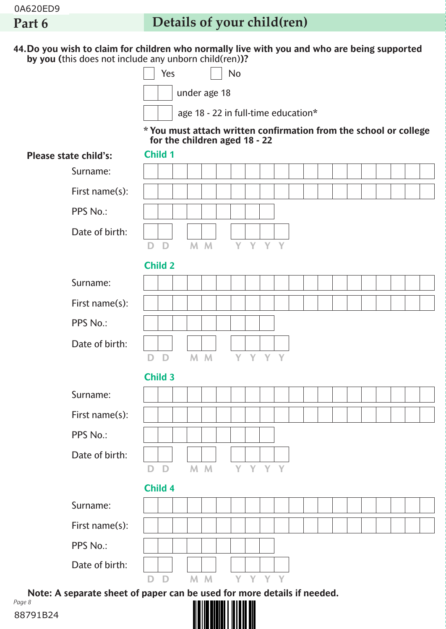# **Part 6 Details of your child(ren)**

**44.Do you wish to claim for children who normally live with you and who are being supported by you (**this does not include any unborn child(ren)**)?**

> under age 18  $Yes$   $|$   $|$   $No$

age 18 - 22 in full-time education**\***

**\* You must attach written confirmation from the school or college for the children aged 18 - 22**

| <b>Please state child's:</b>                                                      |              | Child 1        |  |     |                  |         |  |  |  |  |  |  |
|-----------------------------------------------------------------------------------|--------------|----------------|--|-----|------------------|---------|--|--|--|--|--|--|
| Surname:                                                                          |              |                |  |     |                  |         |  |  |  |  |  |  |
| First name(s):                                                                    |              |                |  |     |                  |         |  |  |  |  |  |  |
| PPS No.:                                                                          |              |                |  |     |                  |         |  |  |  |  |  |  |
| Date of birth:                                                                    |              |                |  |     |                  |         |  |  |  |  |  |  |
|                                                                                   |              | D D            |  | M M |                  | Y Y Y Y |  |  |  |  |  |  |
|                                                                                   |              | <b>Child 2</b> |  |     |                  |         |  |  |  |  |  |  |
| Surname:                                                                          |              |                |  |     |                  |         |  |  |  |  |  |  |
| First name(s):                                                                    |              |                |  |     |                  |         |  |  |  |  |  |  |
| PPS No.:                                                                          |              |                |  |     |                  |         |  |  |  |  |  |  |
| Date of birth:                                                                    |              |                |  |     |                  |         |  |  |  |  |  |  |
|                                                                                   |              | D D            |  | M M |                  | Y Y Y Y |  |  |  |  |  |  |
|                                                                                   |              | <b>Child 3</b> |  |     |                  |         |  |  |  |  |  |  |
| Surname:                                                                          |              |                |  |     |                  |         |  |  |  |  |  |  |
| First name(s):                                                                    |              |                |  |     |                  |         |  |  |  |  |  |  |
| PPS No.:                                                                          |              |                |  |     |                  |         |  |  |  |  |  |  |
| Date of birth:                                                                    |              |                |  |     |                  |         |  |  |  |  |  |  |
|                                                                                   | $\mathbf{D}$ | D              |  | M M |                  | Y Y Y Y |  |  |  |  |  |  |
|                                                                                   |              | Child 4        |  |     |                  |         |  |  |  |  |  |  |
| Surname:                                                                          |              |                |  |     |                  |         |  |  |  |  |  |  |
| First name(s):                                                                    |              |                |  |     |                  |         |  |  |  |  |  |  |
| PPS No.:                                                                          |              |                |  |     |                  |         |  |  |  |  |  |  |
| Date of birth:                                                                    |              |                |  |     |                  |         |  |  |  |  |  |  |
|                                                                                   | D            | D              |  | M M |                  | Y Y Y Y |  |  |  |  |  |  |
| Note: A separate sheet of paper can be used for more details if needed.<br>Page 8 |              |                |  |     | IN I III III III |         |  |  |  |  |  |  |

<u> || || || || || || || || || ||</u>

88791B24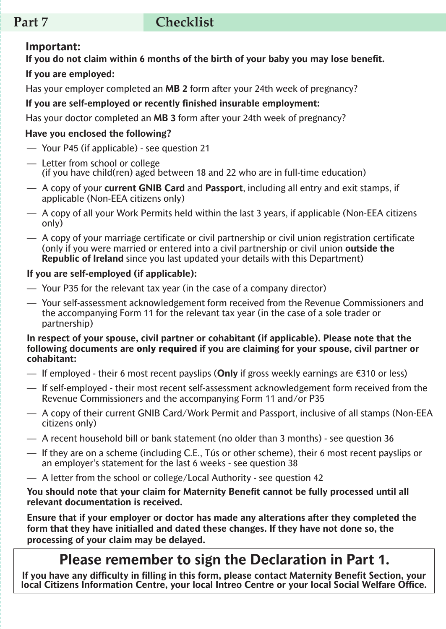# **Part 7 checklist**

#### **Important:**

**If you do not claim within 6 months of the birth of your baby you may lose benefit. If you are employed:**

Has your employer completed an **MB 2** form after your 24th week of pregnancy?

#### **If you are self-employed or recently finished insurable employment:**

Has your doctor completed an **MB 3** form after your 24th week of pregnancy?

#### **Have you enclosed the following?**

- Your P45 (if applicable) see question 21
- Letter from school or college (if you have child(ren) aged between 18 and 22 who are in full-time education)
- A copy of your **current GNIB Card** and **Passport**, including all entry and exit stamps, if applicable (Non-EEA citizens only)
- A copy of all your Work Permits held within the last 3 years, if applicable (Non-EEA citizens only)
- A copy of your marriage certificate or civil partnership or civil union registration certificate (only if you were married or entered into a civil partnership or civil union **outside the Republic of Ireland** since you last updated your details with this Department)

#### **If you are self-employed (if applicable):**

- Your P35 for the relevant tax year (in the case of a company director)
- Your self-assessment acknowledgement form received from the Revenue Commissioners and the accompanying Form 11 for the relevant tax year (in the case of a sole trader or partnership)

#### **In respect of your spouse, civil partner or cohabitant (if applicable). Please note that the following documents are only required if you are claiming for your spouse, civil partner or cohabitant:**

- If employed their 6 most recent payslips (**Only** if gross weekly earnings are €310 or less)
- If self-employed their most recent self-assessment acknowledgement form received from the Revenue Commissioners and the accompanying Form 11 and/or P35
- A copy of their current GNIB Card/Work Permit and Passport, inclusive of all stamps (Non-EEA citizens only)
- $-$  A recent household bill or bank statement (no older than 3 months) see question 36
- If they are on a scheme (including C.E., Tús or other scheme), their 6 most recent payslips or an employer's statement for the last 6 weeks - see question 38
- A letter from the school or college/Local Authority see question 42

#### **You should note that your claim for Maternity Benefit cannot be fully processed until all relevant documentation is received.**

**Ensure that if your employer or doctor has made any alterations after they completed the form that they have initialled and dated these changes. If they have not done so, the processing of your claim may be delayed.**

# **Please remember to sign the Declaration in Part 1.**

**If you have any difficulty in filling in this form, please contact Maternity Benefit Section, your local Citizens Information Centre, your local Intreo Centre or your local Social Welfare Office.**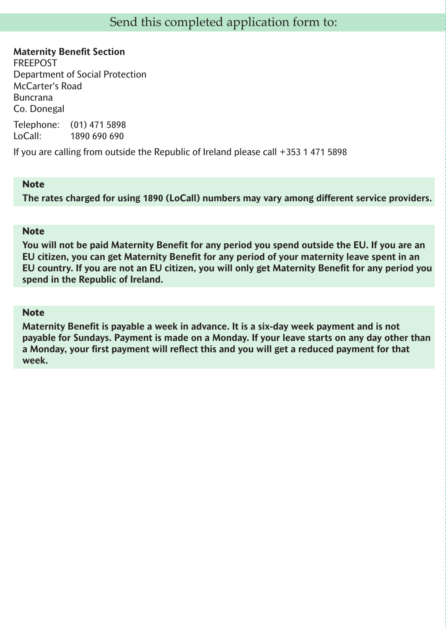**Maternity Benefit Section** FREEPOST Department of Social Protection McCarter's Road Buncrana Co. Donegal

Telephone: (01) 471 5898 LoCall: 1890 690 690

If you are calling from outside the Republic of Ireland please call +353 1 471 5898

#### **Note**

**The rates charged for using 1890 (LoCall) numbers may vary among different service providers.**

#### **Note**

**You will not be paid Maternity Benefit for any period you spend outside the EU. If you are an EU citizen, you can get Maternity Benefit for any period of your maternity leave spent in an EU country. If you are not an EU citizen, you will only get Maternity Benefit for any period you spend in the Republic of Ireland.**

#### **Note**

**Maternity Benefit is payable a week in advance. It is a six-day week payment and is not payable for Sundays. Payment is made on a Monday. If your leave starts on any day other than a Monday, your first payment will reflect this and you will get a reduced payment for that week.**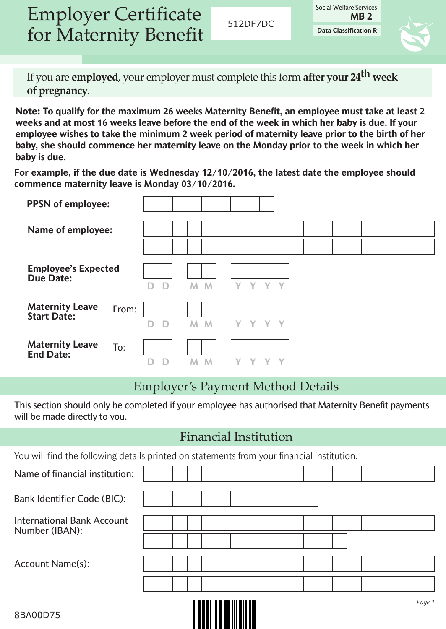Employer Certificate for Maternity Benefit

512DF7DC

**Data Classification R** Social Welfare Services **MB 2**



If you are **employed**, your employer must complete this form **after your 24th week of pregnancy**.

**Note: To qualify for the maximum 26 weeks Maternity Benefit, an employee must take at least 2 weeks and at most 16 weeks leave before the end of the week in which her baby is due. If your employee wishes to take the minimum 2 week period of maternity leave prior to the birth of her baby, she should commence her maternity leave on the Monday prior to the week in which her baby is due.**

**For example, if the due date is Wednesday 12/10/2016, the latest date the employee should commence maternity leave is Monday 03/10/2016.**

| <b>PPSN</b> of employee:                       |       |             |                |         |
|------------------------------------------------|-------|-------------|----------------|---------|
| Name of employee:                              |       |             |                |         |
|                                                |       |             |                |         |
| <b>Employee's Expected</b><br><b>Due Date:</b> |       | $\Box$<br>D | M <sub>M</sub> | Y Y Y Y |
| <b>Maternity Leave</b><br><b>Start Date:</b>   | From: | D<br>D      | M<br>M         | Y Y Y Y |
| <b>Maternity Leave</b><br><b>End Date:</b>     | To:   | D           | M              |         |

### Employer's Payment Method Details

This section should only be completed if your employee has authorised that Maternity Benefit payments will be made directly to you.

#### Financial Institution

You will find the following details printed on statements from your financial institution.

|                                                     |  |  | <u> Alban da in dan an dalam dal</u> |  |  |  |  |  |  | Page 1 |
|-----------------------------------------------------|--|--|--------------------------------------|--|--|--|--|--|--|--------|
|                                                     |  |  |                                      |  |  |  |  |  |  |        |
| <b>Account Name(s):</b>                             |  |  |                                      |  |  |  |  |  |  |        |
|                                                     |  |  |                                      |  |  |  |  |  |  |        |
| <b>International Bank Account</b><br>Number (IBAN): |  |  |                                      |  |  |  |  |  |  |        |
| <b>Bank Identifier Code (BIC):</b>                  |  |  |                                      |  |  |  |  |  |  |        |
|                                                     |  |  |                                      |  |  |  |  |  |  |        |
| Name of financial institution:                      |  |  |                                      |  |  |  |  |  |  |        |

<u> Alban a Mill</u>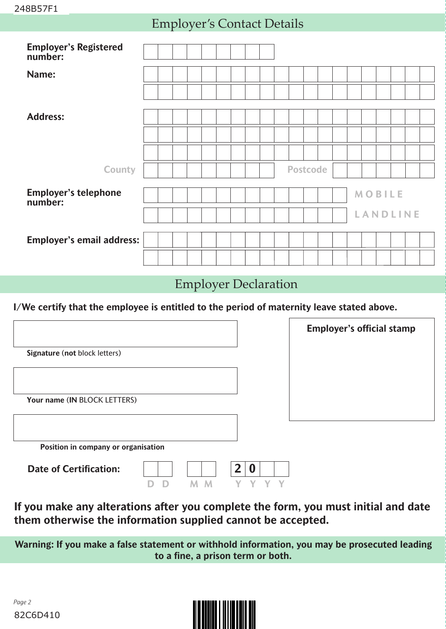#### Employer's Contact Details

| <b>Employer's Registered</b><br>number: |  |  |  |  |  |                 |  |  |               |                 |  |
|-----------------------------------------|--|--|--|--|--|-----------------|--|--|---------------|-----------------|--|
| Name:                                   |  |  |  |  |  |                 |  |  |               |                 |  |
|                                         |  |  |  |  |  |                 |  |  |               |                 |  |
| <b>Address:</b>                         |  |  |  |  |  |                 |  |  |               |                 |  |
|                                         |  |  |  |  |  |                 |  |  |               |                 |  |
|                                         |  |  |  |  |  |                 |  |  |               |                 |  |
| County                                  |  |  |  |  |  | <b>Postcode</b> |  |  |               |                 |  |
| <b>Employer's telephone</b><br>number:  |  |  |  |  |  |                 |  |  | <b>MOBILE</b> |                 |  |
|                                         |  |  |  |  |  |                 |  |  |               | <b>LANDLINE</b> |  |
| <b>Employer's email address:</b>        |  |  |  |  |  |                 |  |  |               |                 |  |
|                                         |  |  |  |  |  |                 |  |  |               |                 |  |

#### Employer Declaration

**I/We certify that the employee is entitled to the period of maternity leave stated above.**

|                                     | <b>Employer's official stamp</b> |
|-------------------------------------|----------------------------------|
| Signature (not block letters)       |                                  |
|                                     |                                  |
| Your name (IN BLOCK LETTERS)        |                                  |
|                                     |                                  |
| Position in company or organisation |                                  |
| O<br><b>Date of Certification:</b>  |                                  |

**If you make any alterations after you complete the form, you must initial and date them otherwise the information supplied cannot be accepted.**

**D D M M Y Y Y Y**

**Warning: If you make a false statement or withhold information, you may be prosecuted leading to a fine, a prison term or both.**

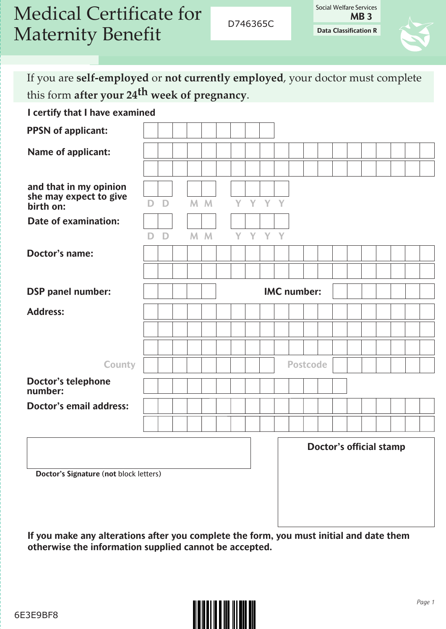| <b>Medical Certificate for</b> |
|--------------------------------|
| <b>Maternity Benefit</b>       |

D746365C

**Data Classification R** Social Welfare Services **MB 3**

If you are **self-employed** or **not currently employed**, your doctor must complete this form **after your 24th week of pregnancy**.

**I certify that I have examined**

| <b>PPSN</b> of applicant:                                     |    |   |  |                |  |         |  |                                |  |  |  |  |  |  |  |  |
|---------------------------------------------------------------|----|---|--|----------------|--|---------|--|--------------------------------|--|--|--|--|--|--|--|--|
| <b>Name of applicant:</b>                                     |    |   |  |                |  |         |  |                                |  |  |  |  |  |  |  |  |
|                                                               |    |   |  |                |  |         |  |                                |  |  |  |  |  |  |  |  |
| and that in my opinion<br>she may expect to give<br>birth on: | D. | D |  | M <sub>M</sub> |  | Y Y Y Y |  |                                |  |  |  |  |  |  |  |  |
| <b>Date of examination:</b>                                   |    |   |  |                |  |         |  |                                |  |  |  |  |  |  |  |  |
|                                                               | D. | D |  | M M            |  | Y Y Y Y |  |                                |  |  |  |  |  |  |  |  |
| <b>Doctor's name:</b>                                         |    |   |  |                |  |         |  |                                |  |  |  |  |  |  |  |  |
|                                                               |    |   |  |                |  |         |  |                                |  |  |  |  |  |  |  |  |
| <b>DSP</b> panel number:                                      |    |   |  |                |  |         |  | <b>IMC</b> number:             |  |  |  |  |  |  |  |  |
| <b>Address:</b>                                               |    |   |  |                |  |         |  |                                |  |  |  |  |  |  |  |  |
|                                                               |    |   |  |                |  |         |  |                                |  |  |  |  |  |  |  |  |
|                                                               |    |   |  |                |  |         |  |                                |  |  |  |  |  |  |  |  |
| County                                                        |    |   |  |                |  |         |  | <b>Postcode</b>                |  |  |  |  |  |  |  |  |
| <b>Doctor's telephone</b><br>number:                          |    |   |  |                |  |         |  |                                |  |  |  |  |  |  |  |  |
| <b>Doctor's email address:</b>                                |    |   |  |                |  |         |  |                                |  |  |  |  |  |  |  |  |
|                                                               |    |   |  |                |  |         |  |                                |  |  |  |  |  |  |  |  |
|                                                               |    |   |  |                |  |         |  | <b>Doctor's official stamp</b> |  |  |  |  |  |  |  |  |
| Doctor's Signature (not block letters)                        |    |   |  |                |  |         |  |                                |  |  |  |  |  |  |  |  |

**4558149477 If you make any alterations after you complete the form, you must initial and date them otherwise the information supplied cannot be accepted.**